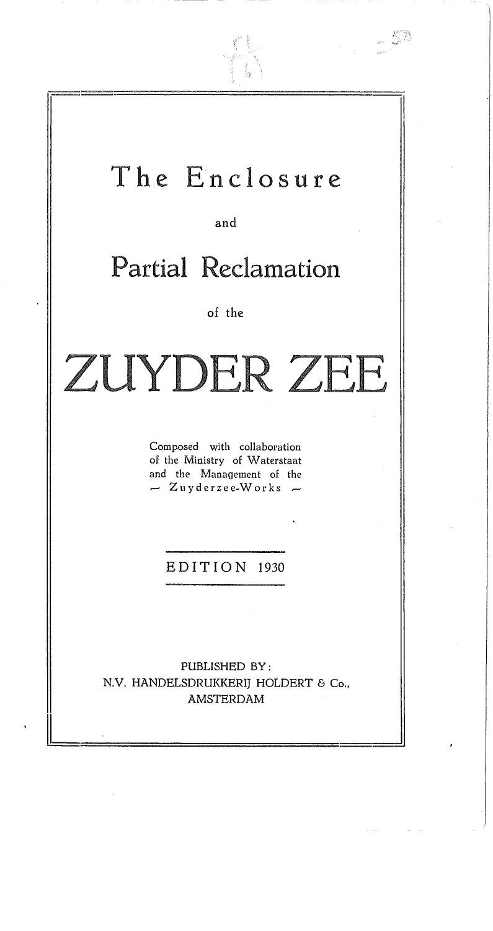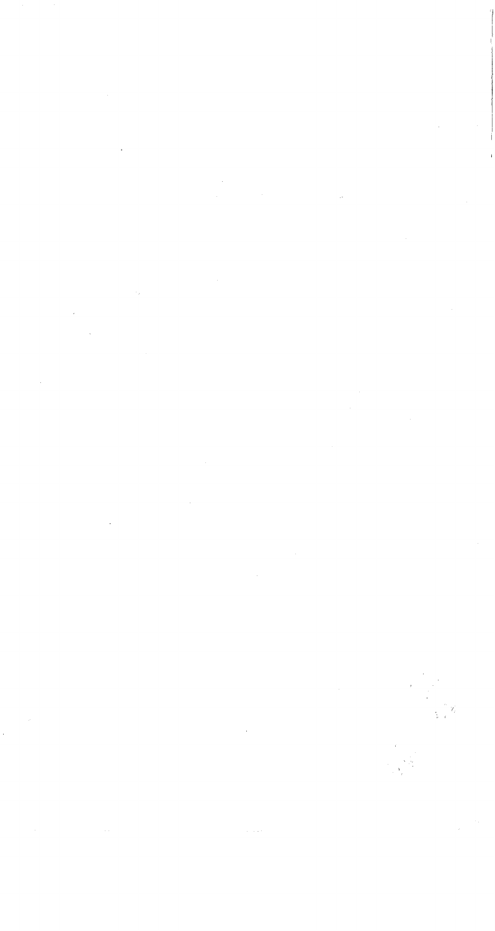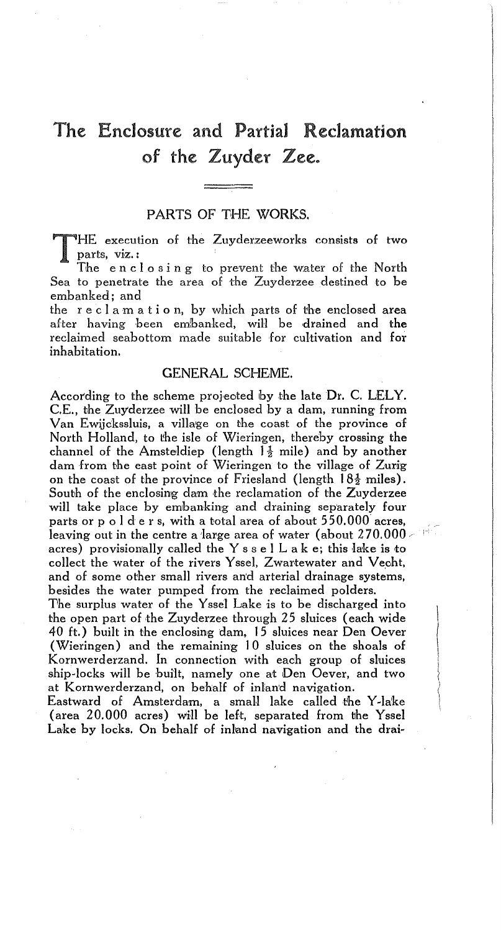# The Enclosure and Partial Reclamation of the Zuydcr Zee.

### PARTS OF THE WORKS.

HE execution of the Zuyderzeeworks consists of two parts, viz.:

The enclosing to prevent the water of the North Sea to penetrate the area of the Zuyderzee destined to be embanked; and

the r e c I a m a t i o n, by which parts of the enclosed area after having been embanked, will be drained and the reclaimed seabottom made suitable for cultivation and for inhabitation.

### GENERAL SCHEME.

According to the scheme projected by the late Dr. C. LELY. C.E., the Zuyderzee will be enclosed by a dam, running from Van Ewijckssluis, a village on the coast of the province of North Holland, to the isle of Wieringen, thereby crossing the channel of the Amsteldiep (length  $1\frac{1}{2}$  mile) and by another dam from the east point of Wieringen to the village of Zurig on the coast of the province of Friesland (length  $18\frac{1}{2}$  miles). South of the enclosing dam the reclamation of the Zuyderzee will take place by embanking and draining separately four parts or p o  $1 d$  e r s, with a total area of about  $550.000$  acres, leaving out in the centre a large area of water (about  $270.000<$ ) acres) provisionally called the  $Y$  s s e l L a k e; this lake is to collect the water of the rivers Yssel, Zwartewater and Veoht, and of some other small rivers and arterial drainage systems, besides the water pumped from the reclaimed polders.

The surplus water of the Yssel Lake is to be discharged into the open part of the Zuyderzee through 25 sluices (each wide 40 ft.) built in the enclosing dam, I *5* sluices near Den Oever (Wieringen) and the remaining 10 sluices on the shoals of Kornwerderzand. In connection with each group of sluices ship-locks will be built, namely one at Den Oever, and two at Kornwerderzand, on behalf of inland navigation.

Eastward of Amsterdam, a small lake called the Y-lake (area 20.000 acres) wiU be left, separated from the Yssel Lake by locks. On behalf of inland navigation and the drai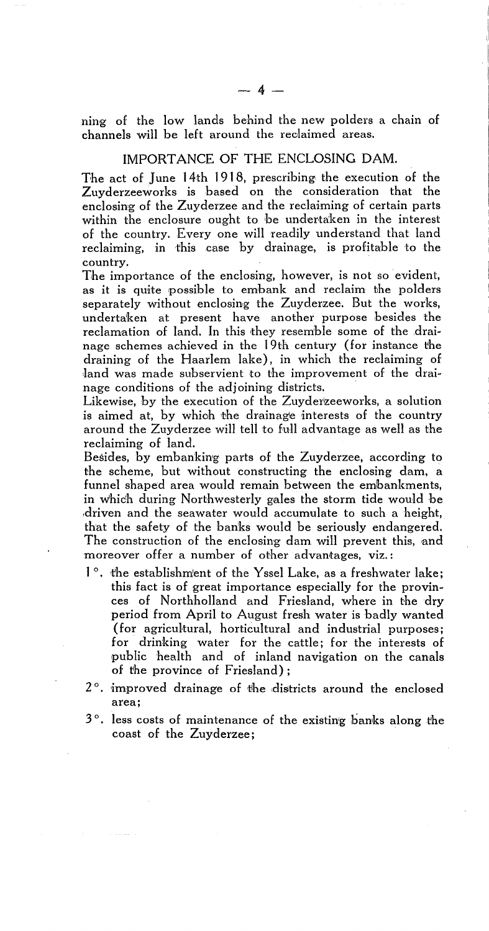ning of the low lands behind the new polders a chain of channels will be left around the reclaimed areas.

### IMPORTANCE OF THE ENCLOSING DAM.

The act of June 14th 1918, prescribing the execution of the Zuyderzeeworks is based on the consideration that the enclosing of the Zuyderzee and the redaiming of certain parts within the enclosure ought to be undertaken in the interest of the country. Every one will readily understand that land reclaiming, in this case by drainage, is profitable to the country.

The importance of the enclosing, however, is not so evident, as it is quite possible to embank and reclaim the polders separately without enclosing the Zuyderzee. But the works, undertaken at present have another purpose besides the reclamation of land. In this they resemble some of the drainage schemes achieved in the 19th century (for instance the draining of the Haarlem lake), in which the reclaiming of land was made subservient to the improvement of the drainage conditions of the adjoining districts.

Likewise, by the execution of the Zuyderzeeworks, a solution is aimed at, by which the drainage interests of the country around the Zuyderzee will tell to full advantage as well as the reclaiming of land.

Besides, by embanking parts of the Zuyderzee, according to the scheme, but without constructing the enclosing dam, a funnel shaped area would remain between the embankments, in which during Northwesterly gales the storm tide would be ,driven and the seawater would accumulate to such a height, that the safety of the banks would be seriously endangered. The construction of the enclosing dam will prevent this, and moreover offer a number of other advantages, viz.:

- 1<sup>o</sup>. the establishment of the Yssel Lake, as a freshwater lake; this fact is of great importance especially for the provinces of Northholland and Friesland, where in rhe dry period from April to August fresh water is badly wanted (for agricuitural, horticultural and industrial purposes; for drinking water for the cattle; for the interests of public health and of inland navigation on the canals of the province of Friesland);
- $2^\circ$ . improved drainage of the districts around the enclosed area;
- 3<sup>o</sup>. less costs of maintenance of the existing banks along the coast of the Zuyderzee;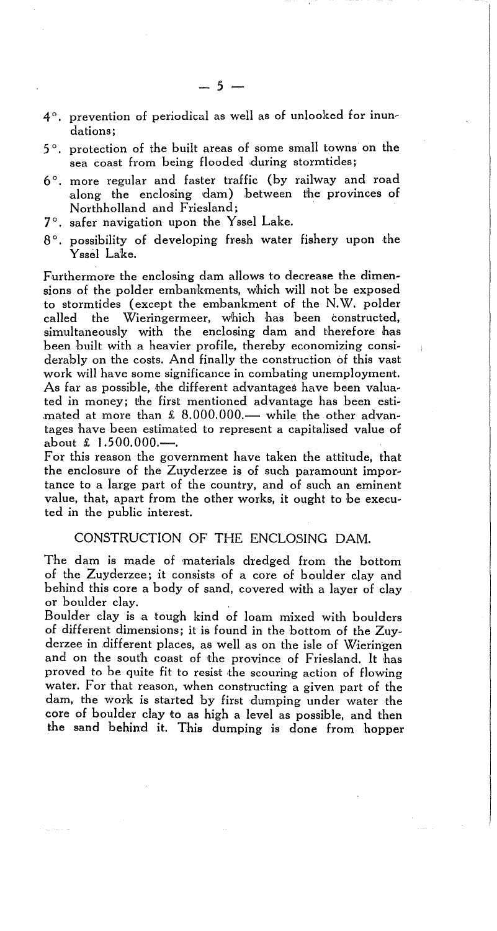- 4 °, prevention of periodical as well as of unlooked for inundations;
- 5 °, protection of the built areas of some small towns on the sea coast from being flooded during storm tides;
- $6^\circ$ , more regular and faster traffic (by railway and road along the enclosing dam) between the provinces of Northholland and Friesland;
- 7°. safer navigation upon the Yssel Lake.
- 8 °, possibility of developing fresh water fishery upon the Yssel Lake,

Furthermore the enclosing dam allows to decrease the dimensions of the polder embankments, which will not be exposed to stormtides (except the embankment of the N.W, polder called the Wieringermeer, which has been constructed, simultaneously with the enclosing dam and therefore has been built with a heavier profile, thereby economizing considerably on the costs. And finally the construction of this vast work will have some significance in combating unemployment. As far as possible, the different advantages have been valuated in money; the first mentioned advantage has been estimated at more than  $\pounds 8.000.000...$  while the other advantages have been estimated to represent a capitalised value of about  $£ 1.500.000.$ —.

For this reason the government have taken the attitude, that the enclosure of the Zuyderzee is of such paramount importance to a large part of the country, and of such an eminent value, that, apart from the other works, it ought to be executed in the public interest.

### CONSTRUCTION OF THE ENCLOSING DAM.

The dam is made of materials dredged from the bottom of the Zuyderzee; it consists of a core of boulder clay and behind this core a body of sand, covered with a layer of clay or boulder clay.

Boulder clay is a tough kind of loam mixed with boulders of different dimensions; it is found in the bottom of the Zuyderzee in different places, as well as on the isle of Wieringen and on the south coast of the province of Friesland. It has proved to be quite fit to resist the scouring action of flowing water. For that reason, when constructing a given part of the dam, the work is started by first dumping under water the core of boulder clay to as high a level as possible, and then the sand behind it. This dumping is done from hopper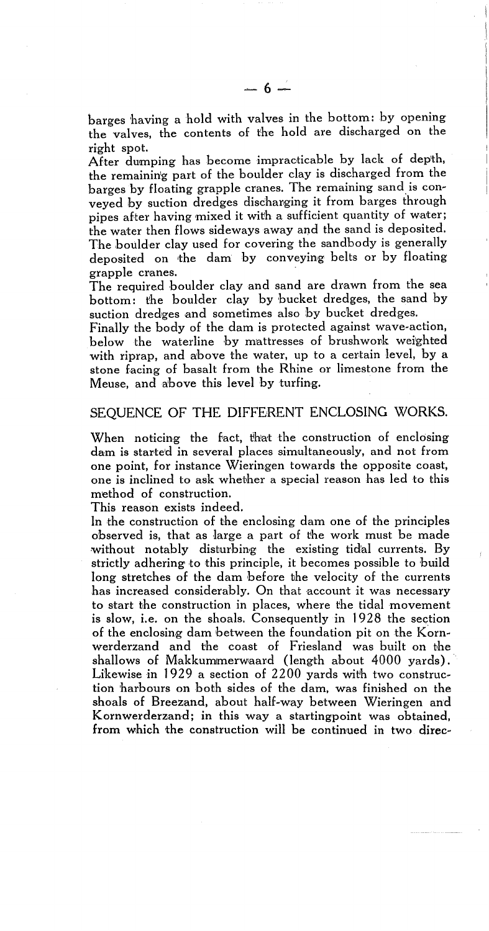barges having a hold with valves in the bottom: by opening the valves, the contents of the hold are discharged on the right spot.

After dumping has become impracticable by lack of depth, the remaining part of the boulder clay is discharged from the barges by floating grapple cranes. The remaining sand is conveyed by suction dredges discharging it from barges through pipes after having mixed it with a sufficient quantity of water; the water then flows sideways away and the sand is deposited. The boulder clay used for covering the sandbody is generally deposited on the dam: by conveying belts or by floating grapple cmnes.

The required boulder clay and sand are drawn from the sea bottom: the boulder clay by bucket dredges, the sand by suction dredges and sometimes also by bucket dredges.

Finally the body of the dam is protected against wave-action, below the waterline by mattresses of brushwork weighted with riprap, and above the water, up to a certain level, by a stone facing of basalt from the Rhine or limestone from the Meuse, and above this level by turfing,

### SEQUENCE OF THE DIFFERENT ENCLOSING WORKS.

When noticing the fact, that the construction of enclosing dam is started in several places simultaneously, and not from one point, for instance Wieringen towards the opposite coast, one is inclined to ask whether a special reason has led to this method of construction.

This reason exists indeed,

In the construction of the enclosing dam one of the principles observed is, that as large a part of the work must be made without notably disturbing the existing tidal currents. By strictly adhering to this principle, it becomes possible to build long stretches of the dam before the velocity of the currents has increased considerably. On that account it was necessary to start the construction in places, where the tidal movement is slow, i.e. on the shoals. Consequently in 1928 the section of the enclosing dam between the foundation pit on the Kornwerderzand and the coast of Friesland was built on the shallows of Makkummerwaard (length about 4000 yards). Likewise in 1929 a section of 2200 yards with two construction harbours on both sides of the dam, was finished on the shoals of Breezand, about half-way between Wieringen and Kornwerderzand; in this way a startingpoint was obtained, from which the construction will be continued in two direc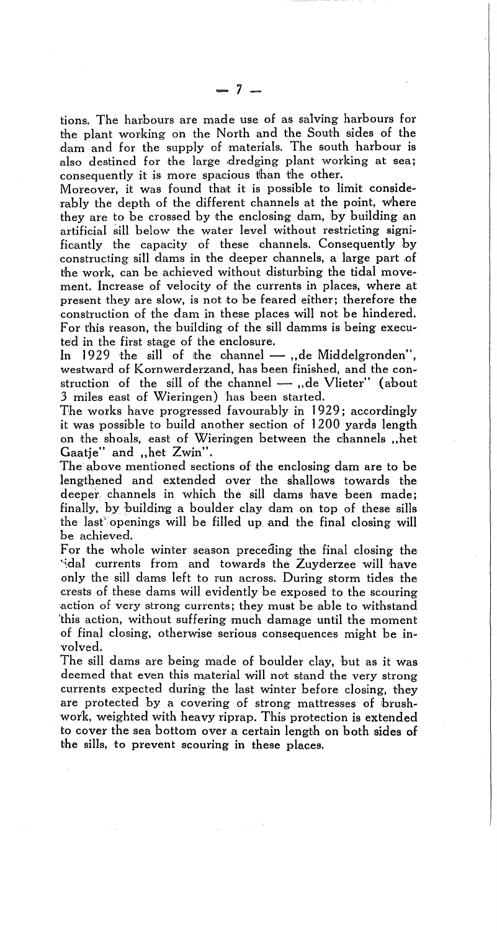Moreover, it was found that it is possible to limit considerably the depth of the different channels at the point, where they are to be crossed by rthe enclosing dam, by building an artificial sill below the water level without restricting significantly the capacity of these channels. Consequently by constructing sill dams in the deeper channels, a large part of the work, can be achieved without disturbing the tidal movement. Increase of velocity of the currents in places, where at present they are slow, is not to be feared either; therefore the construction of the dam in these places will not be hindered. For this reason, the building of the sill damms is being executed in the first stage of the enclosure.

In  $1929$  the sill of the channel - ,,de Middelgronden", westward of Kornwerderzand, has been finished, and the construction of the sill of the channel  $-$ , de Vlieter" (about 3 miles east of Wieringen) has been started.

The works have progressed favourably in 1929; accordingly it was possible to build another section of 1200 yards length on the shoals, east of Wieringen between the channels ,,het Gaatje" and ,,het Zwin".

The above mentioned sections of the enclosing dam are to be lengthened and extended over the shallows towards the deeper. channels in which the sill dams have been made; finally, by building a boulder clay dam on top of these sills the last' openings will be filled up and the final closing will be achieved,

For the whole winter season preceding the final closing the idal currents from and towards the Zuyderzee will have only the sill dams left to run across. During storm tides the crests of these dams will evidently be exposed to the scouring action of very strong currents; they must be able to withstand 'this action, without suffering much damage until the moment of final closing, otherwise serious consequences might be involved.

The sill dams are being made of boulder clay, but as it was deemed that even this material will not stand the very strong currents expected during the last winter before closing, they are protected by a covering of strong mattresses of brushwork, weighted with heavy riprap. This protection is extended to cover the sea bottom over a certain length on both sides of the sills, to prevent scouring in these places.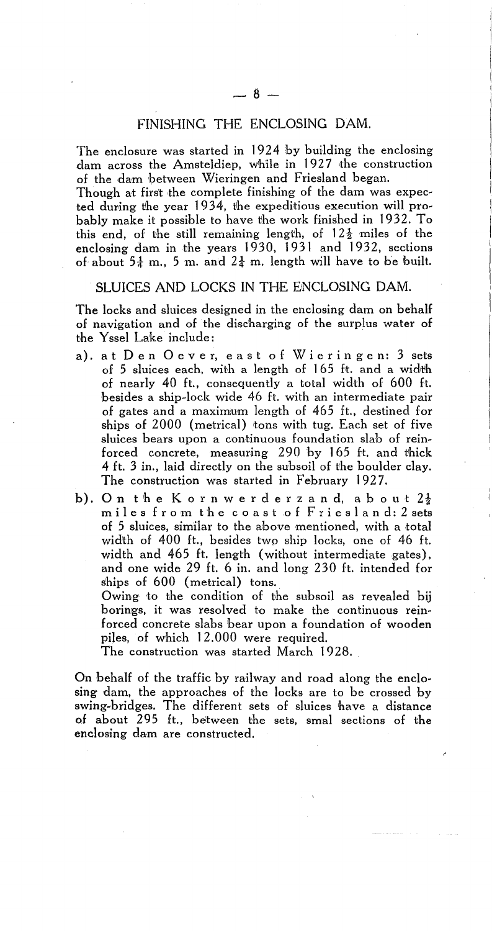### FINISHING THE ENCLOSING DAM.

The enclosure was started in 1924 by building the enclosing dam across the Amsteldiep, while in 1927 the construction of the dam 'between Wieringen and Friesland began.

Though at first the complete finishing of the dam was expected during the year 1934, the expeditious execution will probably make it possible to have tihe work finished in 1932. To this end, of the still remaining length, of  $12\frac{1}{2}$  miles of the enclosing dam in the years 1930, 1931 and 1932, sections of about  $5\frac{1}{4}$  m., 5 m. and  $2\frac{1}{4}$  m. length will have to be built.

### SLUICES AND LOCKS IN THE ENCLOSING DAM.

The locks and sluices designed in the enclosing dam on behalf of navigation and of the discharging of the surplus water of the Y ssel Lake include:

- a). at D en O ever, east of Wieringen: 3 sets of 5 sluices each, with a length of 165 ft. and a width of nearly 40 ft., consequently a total width of 600 ft. besides a ship-lock wide 46 ft. with an intermediate pair of gates and a maximum length of 465 ft., destined for ships of 2000 (metrical) tons with tug. Each set of five sluices bears upon a continuous foundation slab of reinforced concrete, measuring 290 by 165 ft. and thick 4 ft. 3 in., laid directly on the subsoil of the boulder clay. The construction was started in February 1927.
- b). 0 n the K o r n w er de r z and, a b out 2½ miles from the coast of Friesland: 2 sets of 5 sluices, similar to the above mentioned, with a total width of 400 ft., besides two ship locks, one of 46 ft. width and 465 ft. length (without intermediate gates), and one wide 29 ft. 6 in. and long 230 ft. intended for ships of 600 (metrical) tons.

Owing to the condition of the subsoil as revealed bij borings, it was resolved to make the continuous reinforced concrete slabs bear upon a foundation of wooden piles, of which 12.000 were required.

The construction was started March 1928.

On behalf of the traffic by railway and road along the enclosing dam, the approaches of the locks are to be crossed by swing-bridges. The different sets of sluices have a distance of about 295 ft., between the sets, smal sections of the enclosing dam are constructed.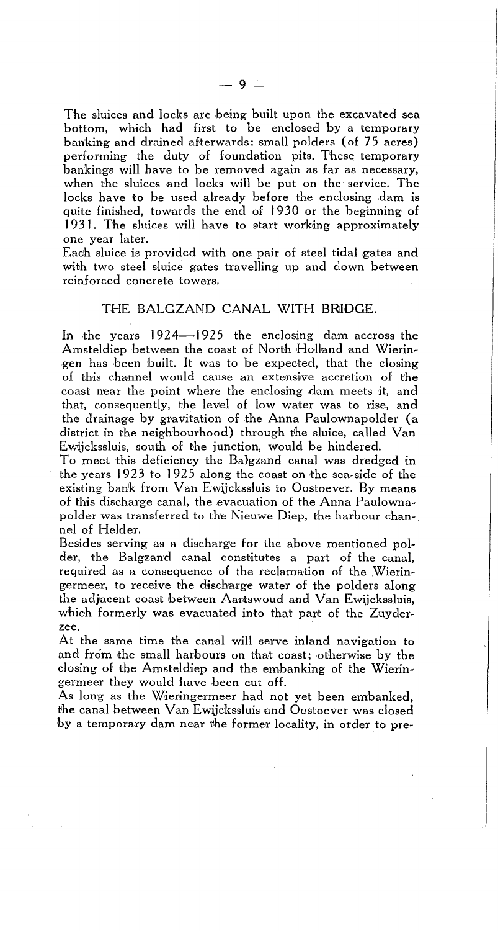The sluices and locks are being built upon the excavated sea bottom, which had first to be enclosed by a temporary banking and drained afterwards: small polders (of 75 acres) performing the duty of foundation pits. These temporary bankings will have to be removed again as far as necessary, when the sluices and locks will be put on the service. The locks have to be used already before the enclosing dam is quite finished, towards the end of 1930 or the beginning of 1931. The sluices will have to start working approximately one year later.

Each sluice is provided with one pair of steel tidal gates and with two steel sluice gates travelling up and down between reinforced concrete towers.

### THE BALGZAND CANAL WITH BRIDGE.

In the years 1924–1925 the enclosing dam accross the Amsteldiep between the coast of North Holland and Wieringen has been built. It was to he expected, that the closing of this channel would cause an extensive accretion of the coast near the point where the enclosing dam meets it, and that, consequently, the level of low water was to rise, and the drainage by gravitation of the Anna Paulownapolder (a district in the neighbourhood) through the sluice, called Van Ewijckssluis, south of the junction, would be hindered.

To meet this deficiency the Balgzand canal was dredged in the years 1923 to 1925 along the coast on the sea-side of the existing bank from Van Ewijckssluis to Oostoever. By means of this discharge canal, the evacuation of the Anna Paulownapolder was transferred to the Nieuwe Diep, the harbour channel of Helder.

Besides serving as a discharge for the above mentioned polder, the Balgzand canal constitutes a part of the canal, required as a consequence of the reclamation of the Wieringermeer, to receive the discharge water of the polders along the adjiacent coast between Aaritswoud and Van Ewijckssluis, which formerly was evacuated into that part of the Zuyderzee.

At the same time the canal will serve inland navigation to and from the small harbours on that coast; otherwise by the closing of the Amsteldiep and the embanking of the Wieringermeer they would have been cut off.

As long as the Wieringermeer had not yet been embanked, the canal between Van Ewijckssluis and Oostoever was closed by a temporary dam near the former locality, in order to pre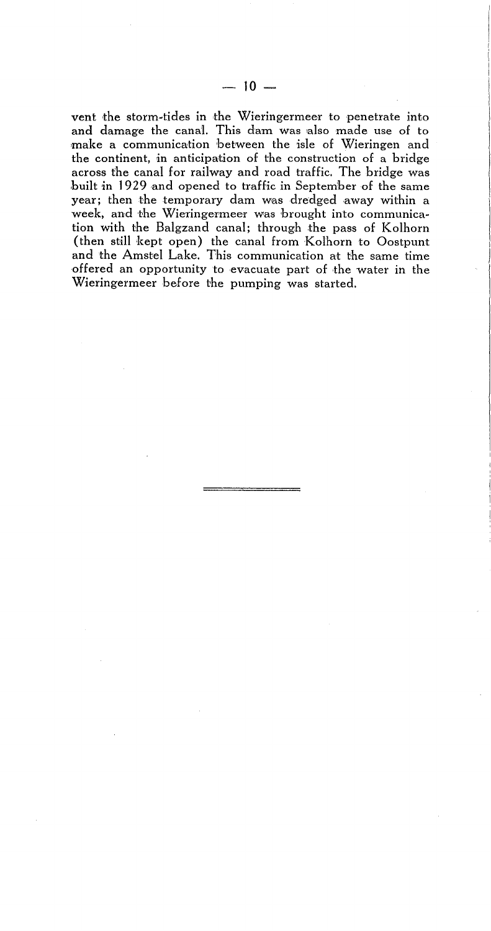vent the storm-tides in the Wieringermeer to penetrate into and damage the canal. This dam was also made use of to make a communication between the isle of Wieringen and the continent, in anticipation of the construction of a bridge across the canal for railway and road traffic, The bridge was built in 1929 and opened to traffic in September of the same year; then the temporary dam was dredged away within a week, and the Wieringermeer was brought into communication with the Balgzand canal; through the pass of Kolhorn (then still kept open) the canal from Kolhorn to Oostpunt and the Amstel Lake. This communication at the same time offered an opportunity to evacuate part of the water in the Wieringermeer before the pumping was started,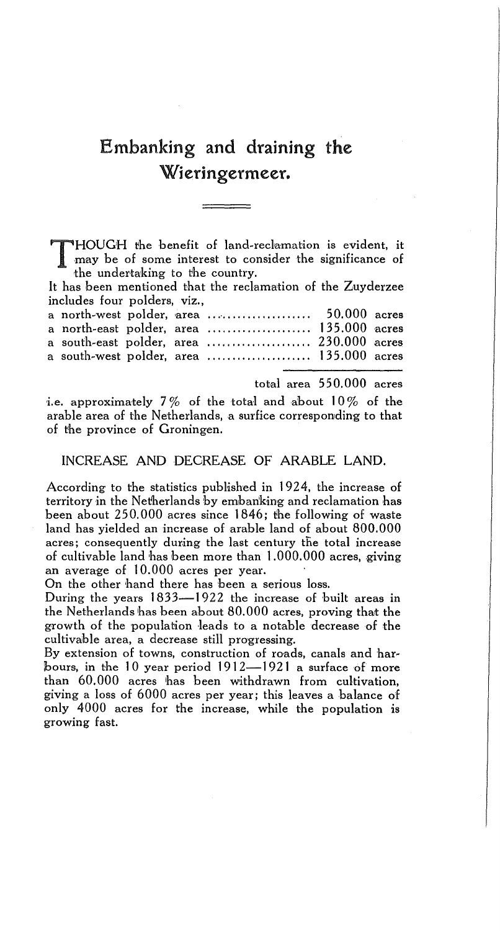# Embanking and draining the Wieringermeer.

THOUGH !:'he benefit of land-reclamation is evident, it may be of some interest to consider the significance of the undertaking to the country.

It has been mentioned that the reclamation of the Zuyderzee includes four polders, **viz.,** 

|  |  | a north-east polder, area  135.000 acres |  |
|--|--|------------------------------------------|--|
|  |  | a south-east polder, area  230.000 acres |  |
|  |  | a south-west polder, area  135.000 acres |  |

total area 550.000 acres

*i.e.* approximately 7% of the total and about 10% of the arable area of the Netherlands, a surfice corresponding to that of the province of Groningen.

### INCREASE AND DEGREASE OF ARABLE LAND.

According to the statistics published in 1924, the increase of territory in the Netherlands by embanking and reclamation has been about  $250.000$  acres since 1846; the following of waste land has yielded an increase of arable land of about 800.000 acres; consequently during the last century the total increase of cultivable land has been more than  $1.000.000$  acres, giving an average of 10.000 acres per year.

On the other hand there has been a serious loss.

During the years 1833-1922 the increase of built areas in the Netherlands has been about  $80.000$  acres, proving that the growth of the population leads to a notable decrease of the cultivable area, a decrease still progressing.

By extension of towns, construction of roads, canals and harbours, in the  $10$  year period  $1912-1921$  a surface of more than 60,000 acres has been withdrawn from cultivation, giving a loss of 6000 acres per year; this leaves a balance of only 4000 acres for the increase, while the population is growing fast.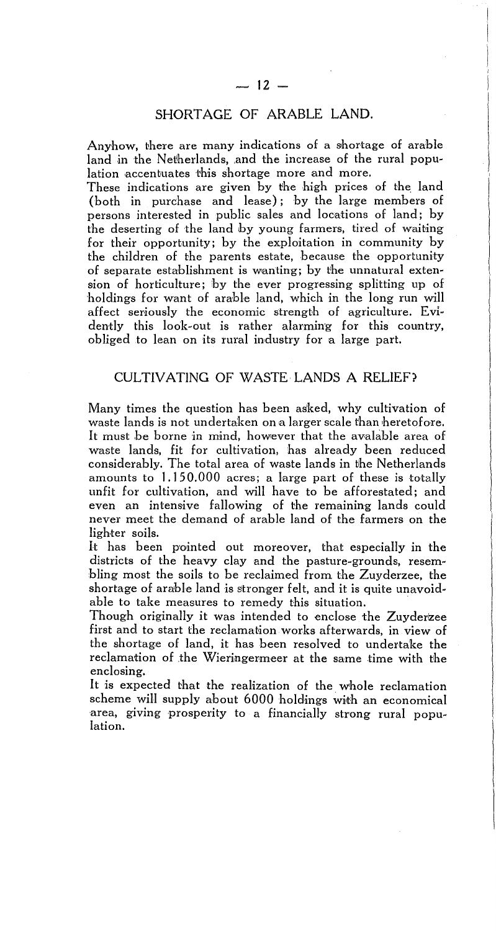Anyhow, there are many indications of a shortage of arable land in the Netherlands, and the increase of the rural population accentuates this shortage more and more.

These indications are given by the high prices of the land (both in purchase and lease); by the large members of persons interested in public sales and locations of land; by the deserting of the land by young farmers, tired of waiting for their opportunity; by the exploitation in community by the children of the parents estate, because the opportunity of separate establishment is wanting; by the unnatural extension of horticulture; by the ever progressing splitting up of holdings for want of arable land, which in the long run will affect seriously the economic strength of agriculture. Evidently this look-out is rather alarming for this country, obliged to lean on its rural industry for a large part.

### CULTIVATING OF WASTE LANDS A RELIEF?

Many times the question has been asked, why cultivation of waste lands is not undertaken on a larger scale than heretofore. It must be borne in mind, however that the avalable area of waste lands, fit for cultivation, has already been reduced considerably. The total area of waste lands in the Netherlands amounts to 1.150.000 acres; a large part of these is totally unfit for cultivation, and will have to be afforestated; and even an intensive fallowing of the remaining lands could never meet the demand of arable land of the farmers on the lighter soils.

It has been pointed out moreover, that especially in the districts of the heavy clay and the pasture-grounds, resembling most the soils to be reclaimed from the Zuyderzee, the shortage of arable land is stronger felt, and it is quite unavoidable to take measures to remedy this situation.

Though originally it was intended to enclose the Zuyderzee first and to start the reclamation works afterwards, in view of the shortage of land, it has been resolved to undertake the reclamation of .the Wieringermeer at the same time with the enclosing.

It is expected that the realization of the whole reclamation scheme will supply about 6000 holdings with an economical area, giving prosperity to a financially strong rural population.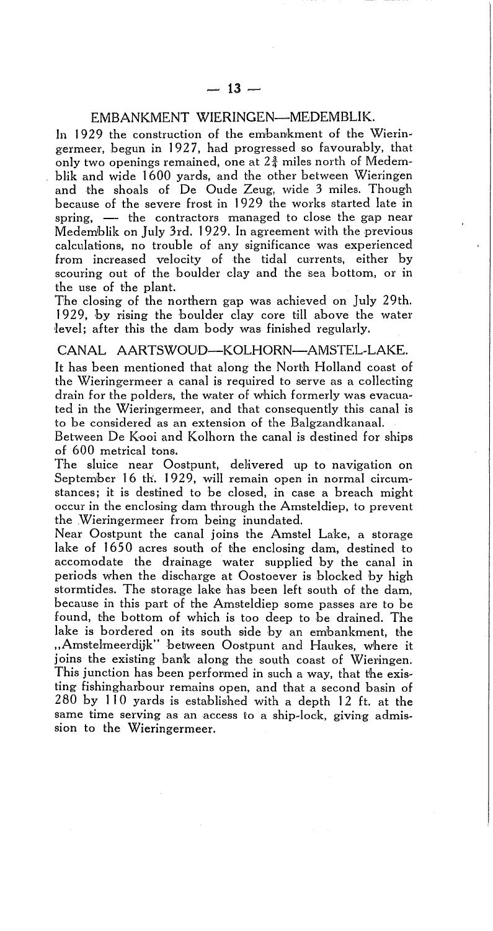### EMBANKMENT WIERINGEN-MEDEMBLIK.

In 1929 the construction of the embankment of the Wieringermeer, begun in 1927, had progressed so favourably, that only two openings remained, one at  $2\frac{3}{4}$  miles north of Medemblik and wide 1600 yards, and the other between Wieringen and the shoals of De Oude Zeug, wide 3 miles. Though because of the severe frost in 1929 the works started late in spring, - the contractors managed to close the gap near Medemblik on July 3rd. 1929. In agreement with the previous calculations, no trouble of any significance was experienced from increased velocity of the tidal currents, either by scouring out of the boulder clay and the sea bottom, or in the use of the plant.

The closing of the northern gap was achieved on July 29th. 1929, by rising the boulder clay core till above the water •level; after this the dam body was finished regularly.

### CANAL AARTSWOUD-KOLHORN-AMSTEL-LAKE.

It has been mentioned that along the North Holland coast of the Wieringermeer a canal is required to serve as a collecting drain for the polders, the water of which formerly was evacuated in the Wieringermeer, and that consequently this canal is to be considered as an extension of the Balgzandkanaal.

Between De Kooi and Kolhorn the canal is destined for ships of 600 metrical tons.

The sluice near Oostpunt, delivered up to navigation on September 16 th. 1929, will remain open in normal circumstances; it is destined to be closed, in case a breach might occur in the enclosing dam through the Amsteldiep, to prevent the Wieringermeer from being inundated.

Near Oostpunt the canal joins the Amstel Lake, a storage lake of 1650 acres south of the enclosing dam, destined to accomodate the drainage water supplied by the canal in periods when the discharge at Oostoever is blocked by high stormtides. The storage lake has been left south of the dam, because in this part of the Amsteldiep some passes are to be found, the bottom of which is too deep to be drained. The lake is bordered on its south side by an embankment, the "Amstelmeerdijk" between Oostpunt and Haukes, where it joins the existing bank along the south coast of Wieringen. This junction has been performed in such a way, that the existing fishingharbour remains open, and that a second basin of  $280$  by  $110$  yards is established with a depth  $12$  ft. at the same time serving as an access to a ship-lock, giving admission to the Wieringermeer.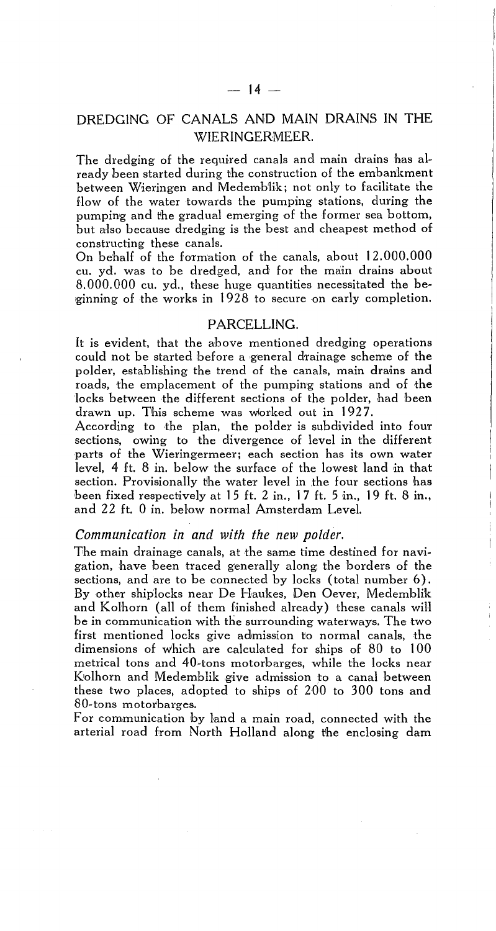### DREDGlNG OF CANALS AND MAIN DRAINS IN THE WIERINGERMEER.

The dredging of the required canals and main drains has already been started during the construction of the embankment between Wieringen and Medemb'lik; not only to facilitate the flow of the water towards the pumping stations, during the pumping and the gradual emerging of the former sea bottom, but also because dredging is the best and cheapest method of constructing these canals.

On behalf of the formation of the canals, about 12.000.000 cu. yd. was to be dredged, and for the main drains about 8.000.000 cu. yd., these huge quantities necessitated the be- ,ginning of the works in 1928 to secure on early completion.

### PARCELLING.

It is evident, that the above mentioned dredging operations could not be started before a general drainage scheme of the polder, establishing the trend of the canals, main drains and roads, the emplacement of the pumping stations and of the locks between the different sections of the polder, had been drawn up. This scheme was worked out in 1927.

According to the plan, the polder is subdivided into four sections, owing to the divergence of level in the different parts of the Wieringermeer; each section has its own water level, 4 ft. 8 in. below the surface of the lowest land in that section. Provisionally the water level in the four sections has been fixed respectively at  $15$  ft. 2 in.,  $17$  ft. 5 in.,  $19$  ft. 8 in., and 22 ft. 0 in. below normal Amsterdam Level.

### *Communication in and with the new polder.*

The main drainage canals, at the same time destined for navigation, have been traced generally along, the borders of the sections, and are to be connected by locks ( total number 6). By other shiplocks near De Haukes, Den Oever, Medembli'k and Kalhorn (all of them finished already) these canals wiH be in communication with the surrounding waterways. The two first mentioned locks give admission to normal canals, the dimensions of which are calculated for ships of 80 to 100 metrical tons and 40-tons motorbarges, while the locks near Kolhorn and Medemblik give admission to a canal between these two places, adopted to ships of 200 to 300 tons and 80-tons motorbarges.

For communication by land a main road, connected with the arterial road from North Holland along the enclosing dam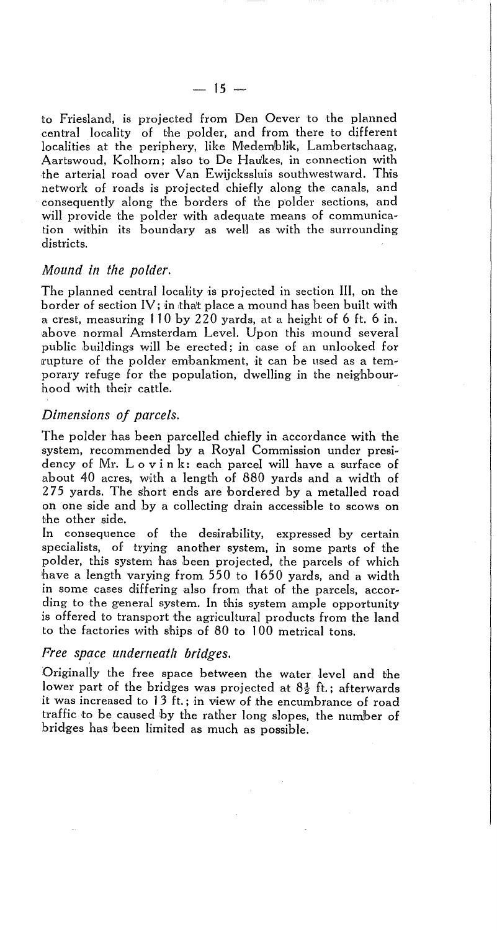to Friesland, is projected from Den Oever to the planned central locality of rhe polder, and from there to different localities at the periphery, like Medemblik, Lambertschaag, Aartswoud, Kolhorn; also to De Haukes, in connection with the arterial road over Van Ewijckssluis southwestward. This network of roads is projected chiefly along the canals, and consequently along the borders of the polder sections, and will provide the polder with adequate means of communication within its boundary as well as with the surrounding

### *Mound in the polder.*

districts.

The planned central locaiity is projected in section III, on the border of section IV; in that place a mound has been built with a crest, measuring 110 by 220 yards, at a height of 6 ft. 6 in. above normal Amsterdam Level. Upon this mound several public buildings will be erected; in case of an unlooked for rupture of the polder embankment, it can be used as a temporary refuge for the population, dwelling in the neighbourhood with their cattle.

### *Dimensions of parcels.*

The polder has been parcelled chiefly in accordance with the system, recommended by a Royal Commission under presidency of Mr. L o v i n k: each parcel will have a surface of about 40 acres, with a length of 880 yards and a width of 275 yards. The short ends are bordered by a metalled road on one side and by a collecting drain accessible to scows on rhe other side.

In consequence of the desirability, expressed by certain specialists, of trying another system, in some parts of the polder, this system has been projected, the parcels of which have a length varying from 550 to 1650 yards, and a width in some cases differing also from that of the parcels, according to the general system. In this system ample opportunity is offered to transport the agricultural products from the land to the factories with ships of 80 to 100 metrical tons.

### *Free space underneath bridges.*

Originally the free space between the water level and the lower part of the bridges was projected at  $8\frac{1}{2}$  ft.; afterwards it was increased to 13 ft.; in view of the encumbrance of road traffic to be caused by the rather long slopes, the number of bridges has been limited as much as possible.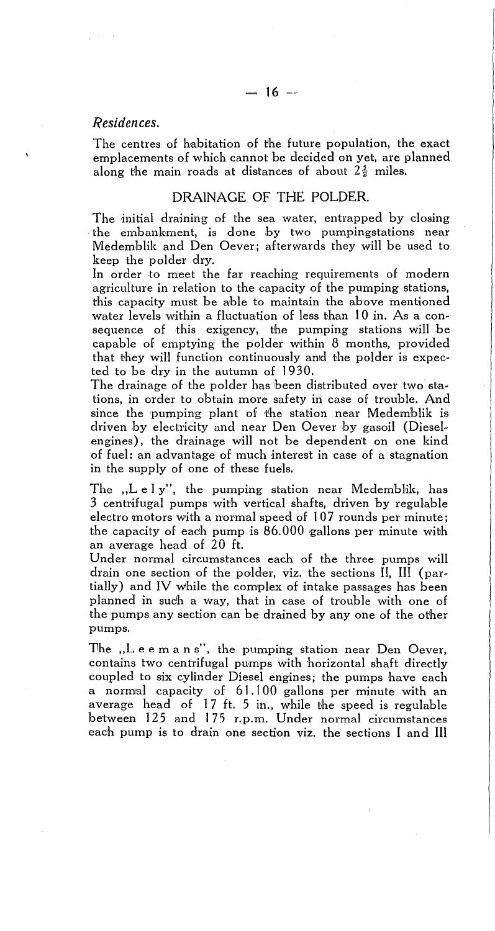### *Residences.*

The centres of habitation of the future population, the exact emplacements of which cannot be decided on yet, are planned along the main roads at distances of about  $2\frac{1}{2}$  miles.

### DRAINAGE OF THE POLDER.

The initial draining of the sea water, entrapped by closing the embankment, is done by two pumpingstations near Medemblik and Den Oever; afterwards they will be used to keep the polder dry.

In order to meet the far reaching requirements of modern agriculture in relation to the capacity of the pumping stations, this capacity must be able to maintain the ahove mentioned water levels within a fluctuation of less than **1** 0 in. As a consequence of this exigency, the pumping stations will be capable of emptying the polder within 8 months, provided that they will function continuously and the polder is expected to be dry in the autumn of 1930.

The drainage of the polder has been distributed over two stations, in order to obtain more safety in case of trouble. And since the pumping plant of the station near Medemblik is driven by electricity and near Den Oever by gasoil (Dieselengines), the drainage will not be dependent on one kind of fuel: an advantage of much interest in case of a stagnation in the supply of one of these fuels.

The "Lely", the pumping station near Medemblik, has 3 centrifugal pumps with vertical shafts, driven by regulable electro motors with a normal speed of 107 rounds per minute; the capacity of each pump is 86.000 gallons per minute wibh an average head of 20 ft.

Under normal circumstances each of the three pumps will drain one section of the polder, viz. the sections II, III (partially) and IV while the complex of intake passages has been planned in sudh a way, that in case of trouble with one of the pumps any section can be drained by any one of the other pumps.

The "Leemans", the pumping station near Den Oever, contains two centrifugal pumps with horizontal shaft directly coupled to six cylinder Diesel engines; the pumps have each a normal capacity of 61. 100 gaHons per minute with an average head of 17 ft. 5 in., while the speed is regulable between 125 and 175 r.p.m. Under normal circumstances each pump is to drain one section viz. the sections I and Ill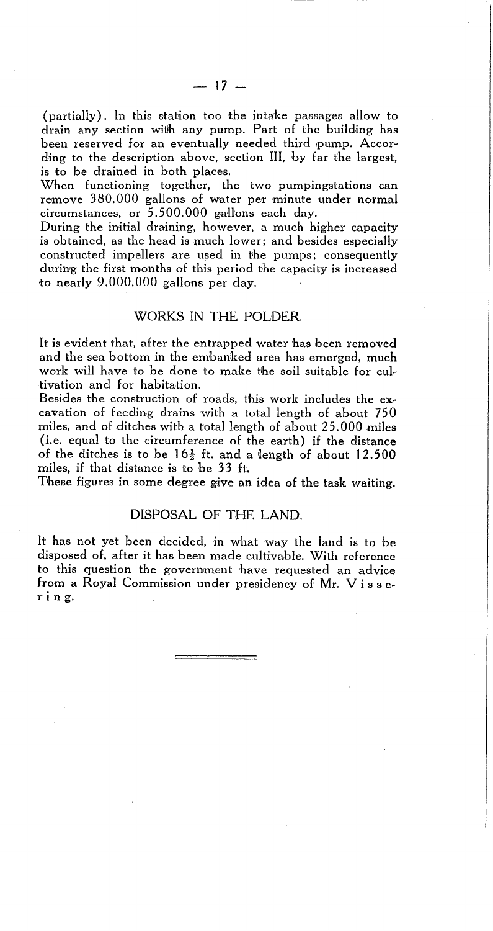(partially). In this station too the intake passages allow to drain any section with any pump. Part of the building has been reserved for an eventually needed third pump. According to the description above, section III, *by* far the largest, is to be drained in both places.

When functioning together, the two pumpingstations can remove 380.000 gallons of water per minute under normal circumstances, or 5. 5 00. 000 gallons each day.

During the initial draining, however, a much higher capacity is obtained, as the head is much lower; and besides especially constructed impellers are used in the pumps; consequently during the first months of this period the capacity is increased to nearly 9.000.000 gallons per day.

### WORKS IN THE POLDER.

It is evident that, after the entrapped water has been removed and the sea bottom in the embanked area has emerged, much work will have to be done to make the soil suitable for cultivation and for habitation.

Besides the construction of roads, this work includes the excavation of feeding drains with a total length of about  $750$ miles, and of ditches with a total length of about 25.000 miles (i.e. equal to the circumference of the earth) if the distance of the ditches is to be  $16\frac{1}{2}$  ft. and a length of about 12.500 miles, if that distance is to be 33 ft.

These figures in some degree give an idea of the task waiting,

### DISPOSAL OF THE LAND.

It has not yet been decided, in what way the land is to be disposed of, after it has been made cultivable. With reference to this question the government have requested an advice from a Royal Commission under presidency of Mr. V i s s er in g.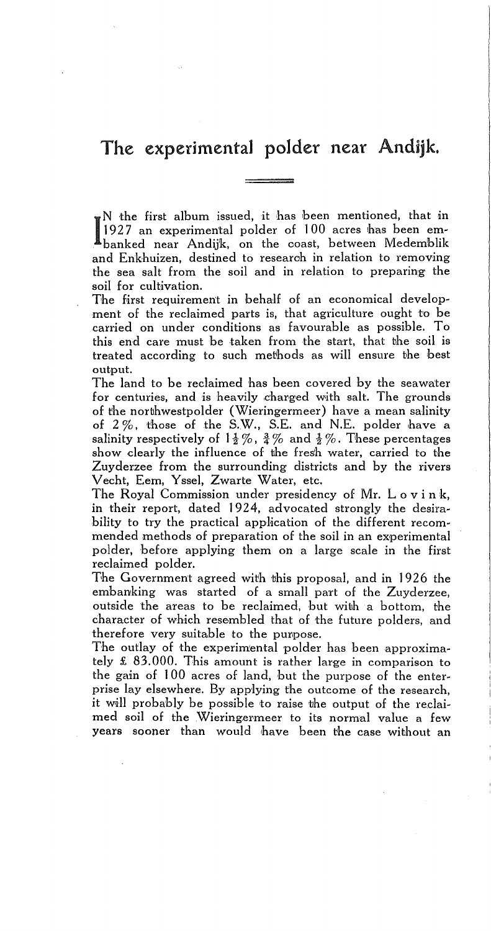## The experimental polder near Andijk.

 $\prod_{k=1}^{n}$  $N$  the first album issued, it has been mentioned, that in 1927 an experimental polder of 100 acres has been embanked near Andij'k, on the coast, between Medemblik and Enkhuizen, destined to research in relation to removing the sea salt from the soil and in relation to preparing the soil for cultivation.

The first requirement in behalf of an economical development of the reclaimed parts is, that agriculture ought to be carried on under conditions as favourable as possible. To this end care must be taken from the start, that the soil is treated according to such metlhods as will ensure bhe best output.

The land to be reclaimed has been covered by the seawater for centuries, and is heavily charged with salt. The grounds of the northwestpolder (Wieringermeer) have a mean salinity of  $2\%$ , those of the S.W., S.E. and N.E. polder have a salinity respectively of  $1\frac{1}{2}\%$ ,  $\frac{3}{4}\%$  and  $\frac{1}{2}\%$ . These percentages show dearly the influence of the fresh water, carried to the Zuyderzee from the surrounding districts and by the rivers Vecht, Eem, Yssel, Zwarte Water, etc.

The Royal Commission under presidency of Mr. L o *v* i n k, in their report, dated 1924, advocated strongly the desirability to try the practical application of the different recommended methods of preparation of the soil in an experimental polder, before applying them on a large scale in the first reclaimed polder.

The Government agreed with this proposal, and in 1926 the embanking was started of a small part of the Zuyderzee, outside the areas to be reclaimed, but wibh a bottom, the character of which resembled that of the future polders, and therefore very suitable to the purpose.

The outlay of the experimental polder has been approximately £ 83.000. This amount is rather large in comparison to the gain of 100 acres of land, but the purpose of the enterprise lay elsewhere. By applying the outcome of the research, it will probably be possible to raise the output of the reclaimed soil of the Wieringermeer to its normal value a few years sooner than would have been the case without an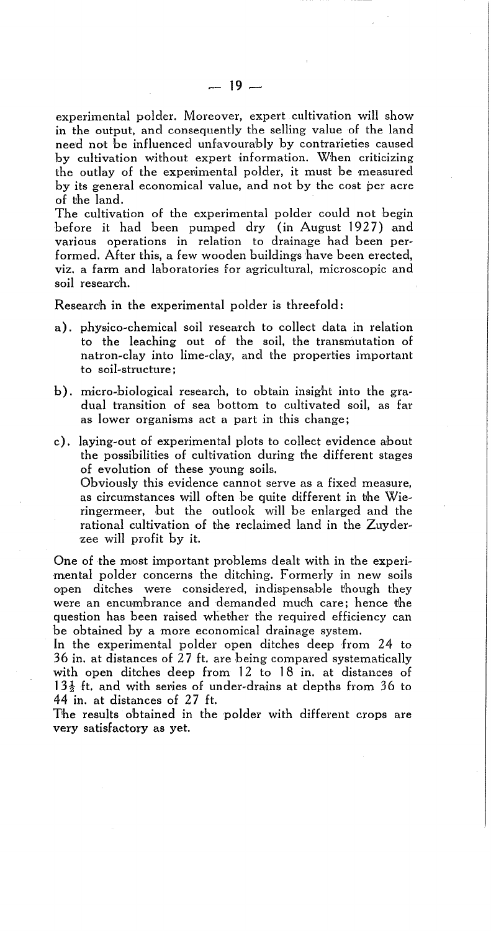experimental polder. Moreover, expert cultivation will show in the output, and consequently the selling value of the land need not be influenced unfavourably by contrarieties caused by cultivation without expert information. When criticizing the outlay of the experimental polder, it must be measured by its general economical value, and not by the cost per acre of the land.

The cultivation of the experimental polder could not begin before it had been pumped dry (in August 1927) and various operations in relation to drainage had been performed. After this, a few wooden buildings have been erected, viz. a farm and laboratories for agricultural, microscopic and soil research.

Research in the experimental polder is threefold:

- a). physico-chemical soil research to collect data in relation to the leaching out of the soil, the transmutation of natron-clay into lime-clay, and the properties important to soil-structure;
- b). micro-biological research, to obtain insight into the gradual transition of sea bottom to cultivated soil, as far as lower organisms act a part in this change;
- c). laying-out of experimental plots to collect evidence about the possibilities of cultivation during the different stages of evolution of these young soils. Obviously this evidence cannot serve as a fixed measure,

as circumstances will often be quite different in the Wieringermeer, but the outlook will be enlarged and the rational cultivation of the reclaimed land in the Zuyderzee will profit by it.

One of the most important problems dealt with in the experimental polder concerns the ditching. Formerly in new soils open ditches were considered, indispensable though they were an encumbrance and demanded much care; hence the question has been raised wnether the required efficiency can be obtained by a more economical drainage system.

In the experimental polder open ditches deep from 24 to 36 in. at distances of 27 ft. are being compared systematically with open ditches deep from 12 to 18 in. at distances of  $13\frac{1}{2}$  ft. and with series of under-drains at depths from 36 to 44 in. at distances of 27 ft.

The results obtained in the polder with different crops are very satisfactory as yet.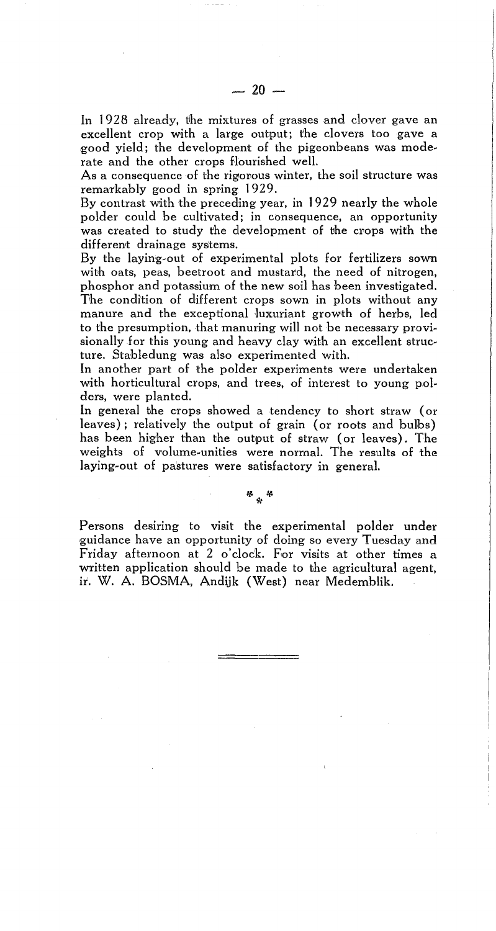In 1928 already, the mixtures of grasses and clover gave an excellent crop with a large output; the clovers too gave a .good yield; the development of the pigeonbeans was moderate and the other crops flourished well.

As a consequence of the rigorous winter, the soil structure was remarkably good in spring. 1929.

By contrast with the preceding year, in 1929 nearly the whole polder could be cultivated; in consequence, an opportunity was created to study the development of the crops with the different drainage systems.

By the laying-out of experimental plots for fertilizers sown with oats, peas, beetroot and mustard, the need of nitrogen, phosphor and potassium of the new soil has been investigated. The condition of different crops sown in plots without any manure and the exceptional 1uxuriant growth of herbs, led to the presumption, that manuring will not be necessary provisionally for this young and heavy clay with an excellent structure. Stabledung was also experimented with.

**In** another part of the polder experiments were undertaken with horticultural crops, and trees, of interest to young polders, were planted.

**In** general the crops showed a tendency to short straw ( or leaves) ; relatively the output of grain ( or roots and bulbs) has been higher than the output of straw (or leaves). The weights of volume-unities were normal. The results of the laying-out of pastures were satisfactory in general.

 $\begin{array}{cc} \ast & \ast \\ \ast & \ast \end{array}$ 

Persons desiring to visit the experimental polder under ,guidance have an opportunity of doing so every Tuesday and Friday afternoon at 2 o'clock. For visits at other times a written application should be made to the agricultural agent, ir. W. A. BOSMA, Andijk (West) near Medemblik.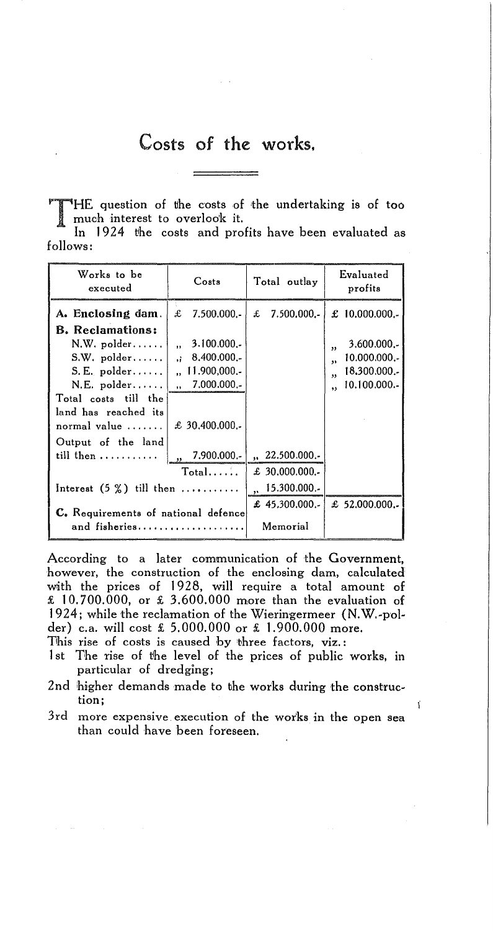## Costs of the works,

THE question of the costs of<br>much interest to overlook it.<br>In 1924 the costs and profi <sup>\*</sup>HE question of the costs of the undertaking is of too muoh interest to overlook it.

In 1924 tihe costs and profits have been evaluated as follows:

| Works to be<br>executed                              | Costs                                 | Total outlay  | Evaluated<br>profits                  |  |
|------------------------------------------------------|---------------------------------------|---------------|---------------------------------------|--|
| A. Enclosing dam.                                    | £<br>7.500.000.-                      | £ 7.500,000,- | £10.000.000.                          |  |
| <b>B. Reclamations:</b>                              |                                       |               |                                       |  |
| $N.W.$ polder                                        | $3.100.000 -$<br>$\ddot{\phantom{a}}$ |               | 3.600.000.<br>$\overline{\mathbf{z}}$ |  |
| $S.W.$ polder                                        | $\cdot$ 8.400.000.                    |               | 10.000.000.<br>$\ddot{\phantom{a}}$   |  |
| $S.E.$ polder                                        | , 11.900,000.                         |               | 18.300.000.<br>,                      |  |
| $N.E.$ polder                                        | $7.000.000 -$<br>$\mathbf{H}$         |               | 10.100.000                            |  |
| Total costs till the                                 |                                       |               |                                       |  |
| land has reached its                                 |                                       |               |                                       |  |
| normal value                                         | £ 30.400.000.                         |               |                                       |  |
| Output of the land                                   |                                       |               |                                       |  |
| till then                                            | $7.900.000 -$                         | , 22.500.000. |                                       |  |
|                                                      | $Total$                               | £ 30.000.000. |                                       |  |
| Interest $(5 \%)$ till then $\ldots \ldots$          |                                       | , 15.300.000. |                                       |  |
|                                                      |                                       | £ 45.300.000. | £ 52.000.000.                         |  |
| C. Requirements of national defence<br>and fisheries |                                       | Memorial      |                                       |  |

According to a later communication of the **Government,**  however, the construction of the enclosing dam, calculated with the prices of 1928, will require a total amount of £ 10. 700.000, or £ 3.600.000 more than the evaluation of 1924; while the reclamation of the Wieringermeer (N.W.-polder) c.a. will cost  $£ 5.000.000$  or  $£ 1.900.000$  more.

This rise of costs is caused by 'three factors, viz.:

- 1st The rise of the level of the prices of public works, in particular of dredging;
- 2nd higher demands made to the works during the construction;

ï

3rd more expensive execution of the works in the open sea than could have been foreseen.